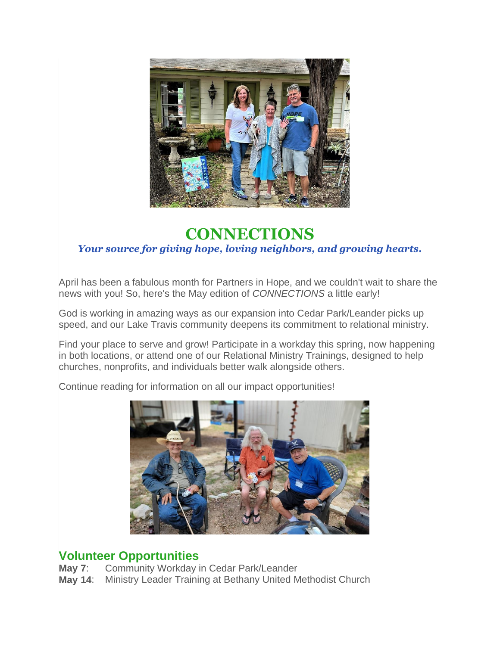

# **CONNECTIONS** *Your source for giving hope, loving neighbors, and growing hearts.*

April has been a fabulous month for Partners in Hope, and we couldn't wait to share the news with you! So, here's the May edition of *CONNECTIONS* a little early!

God is working in amazing ways as our expansion into Cedar Park/Leander picks up speed, and our Lake Travis community deepens its commitment to relational ministry.

Find your place to serve and grow! Participate in a workday this spring, now happening in both locations, or attend one of our Relational Ministry Trainings, designed to help churches, nonprofits, and individuals better walk alongside others.

Continue reading for information on all our impact opportunities!



### **Volunteer Opportunities**

**May 7**: Community Workday in Cedar Park/Leander **May 14**: Ministry Leader Training at Bethany United Methodist Church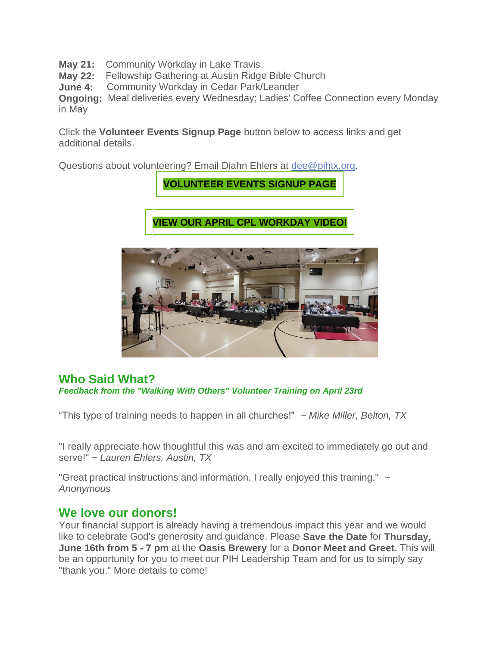**May 21:** Community Workday in Lake Travis

**May 22:** Fellowship Gathering at Austin Ridge Bible Church

**June 4:** Community Workday in Cedar Park/Leander

**Ongoing:** Meal deliveries every Wednesday; Ladies' Coffee Connection every Monday in May

Click the **Volunteer Events Signup Page** button below to access links and get additional details.

Questions about volunteering? Email Diahn Ehlers at [dee@pihtx.org.](mailto:dee@pihtx.org?subject=Volunteer%20Questions)

**[VOLUNTEER](https://pihtx.org/signups-and-interest/) EVENTS SIGNUP PAGE**

**VIEW OUR APRIL CPL [WORKDAY](https://vimeo.com/701444015) VIDEO!**



#### **Who Said What?** *Feedback from the "Walking With Others" Volunteer Training on April 23rd*

"This type of training needs to happen in all churches!" ~ *Mike Miller, Belton, TX*

"I really appreciate how thoughtful this was and am excited to immediately go out and serve!" *~ Lauren Ehlers, Austin, TX*

"Great practical instructions and information. I really enjoyed this training." *~ Anonymous*

### **We love our donors!**

Your financial support is already having a tremendous impact this year and we would like to celebrate God's generosity and guidance. Please **Save the Date** for **Thursday, June 16th from 5 - 7 pm** at the **Oasis Brewery** for a **Donor Meet and Greet.** This will be an opportunity for you to meet our PIH Leadership Team and for us to simply say "thank you." More details to come!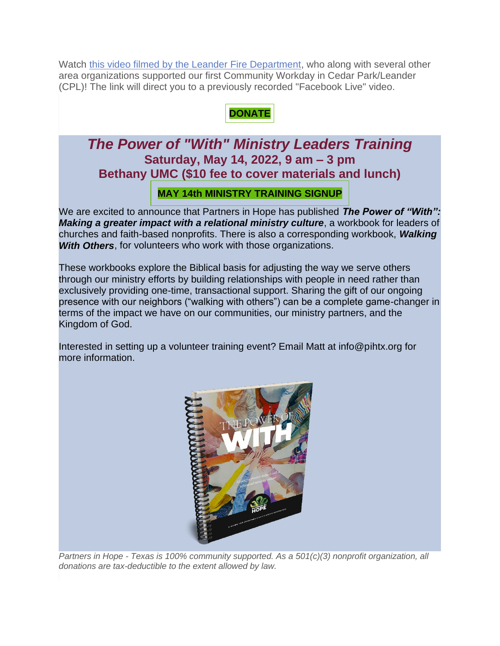Watch [this video filmed by the Leander Fire Department,](https://fb.watch/cw257CnhYR/) who along with several other area organizations supported our first Community Workday in Cedar Park/Leander (CPL)! The link will direct you to a previously recorded "Facebook Live" video.

## **[DONATE](https://pihtx.org/donate/)**

# *The Power of "With" Ministry Leaders Training* **Saturday, May 14, 2022, 9 am – 3 pm Bethany UMC (\$10 fee to cover materials and lunch)**

#### **MAY 14th MINISTRY [TRAINING](https://pihtx.org/signups-and-interest/) SIGNUP**

We are excited to announce that Partners in Hope has published *The Power of "With": Making a greater impact with a relational ministry culture*, a workbook for leaders of churches and faith-based nonprofits. There is also a corresponding workbook, *Walking With Others*, for volunteers who work with those organizations.

These workbooks explore the Biblical basis for adjusting the way we serve others through our ministry efforts by building relationships with people in need rather than exclusively providing one-time, transactional support. Sharing the gift of our ongoing presence with our neighbors ("walking with others") can be a complete game-changer in terms of the impact we have on our communities, our ministry partners, and the Kingdom of God.

Interested in setting up a volunteer training event? Email Matt at info@pihtx.org for more information.



*Partners in Hope - Texas is 100% community supported. As a 501(c)(3) nonprofit organization, all donations are tax-deductible to the extent allowed by law.*